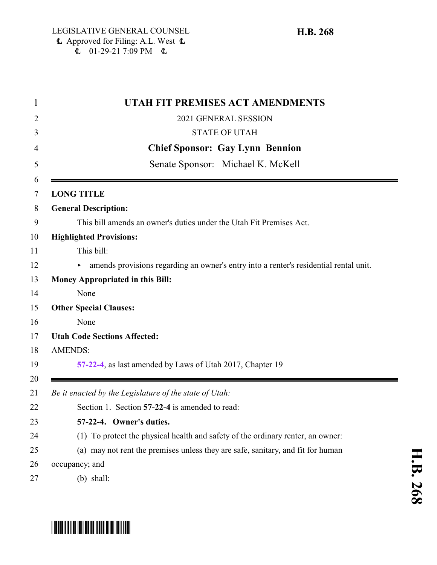$\stackrel{\frown}{\text{L}}$  01-29-21 7:09 PM  $\stackrel{\frown}{\text{L}}$ 

|          | UTAH FIT PREMISES ACT AMENDMENTS                                                      |
|----------|---------------------------------------------------------------------------------------|
| 2        | 2021 GENERAL SESSION                                                                  |
| 3        | <b>STATE OF UTAH</b>                                                                  |
| 4        | <b>Chief Sponsor: Gay Lynn Bennion</b>                                                |
| 5        | Senate Sponsor: Michael K. McKell                                                     |
| 6<br>7   | <b>LONG TITLE</b>                                                                     |
| 8        | <b>General Description:</b>                                                           |
| 9        | This bill amends an owner's duties under the Utah Fit Premises Act.                   |
| 10       | <b>Highlighted Provisions:</b>                                                        |
| 11       | This bill:                                                                            |
| 12       | amends provisions regarding an owner's entry into a renter's residential rental unit. |
| 13       | <b>Money Appropriated in this Bill:</b>                                               |
| 14       | None                                                                                  |
| 15       | <b>Other Special Clauses:</b>                                                         |
| 16       | None                                                                                  |
| 17       | <b>Utah Code Sections Affected:</b>                                                   |
| 18       | <b>AMENDS:</b>                                                                        |
| 19<br>20 | 57-22-4, as last amended by Laws of Utah 2017, Chapter 19                             |
| 21       | Be it enacted by the Legislature of the state of Utah:                                |
| 22       | Section 1. Section 57-22-4 is amended to read:                                        |
| 23       | 57-22-4. Owner's duties.                                                              |
| 24       | (1) To protect the physical health and safety of the ordinary renter, an owner:       |
| 25       | (a) may not rent the premises unless they are safe, sanitary, and fit for human       |
| 26       | occupancy; and                                                                        |
| 27       | $(b)$ shall:                                                                          |



**H.B.**

## <span id="page-0-0"></span>\*HB0268\*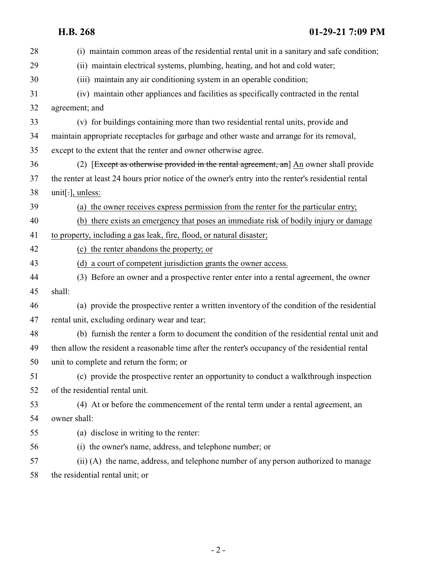**H.B. 268 01-29-21 7:09 PM**

| 28 | (i) maintain common areas of the residential rental unit in a sanitary and safe condition;          |
|----|-----------------------------------------------------------------------------------------------------|
| 29 | (ii) maintain electrical systems, plumbing, heating, and hot and cold water;                        |
| 30 | (iii) maintain any air conditioning system in an operable condition;                                |
| 31 | (iv) maintain other appliances and facilities as specifically contracted in the rental              |
| 32 | agreement; and                                                                                      |
| 33 | (v) for buildings containing more than two residential rental units, provide and                    |
| 34 | maintain appropriate receptacles for garbage and other waste and arrange for its removal,           |
| 35 | except to the extent that the renter and owner otherwise agree.                                     |
| 36 | (2) [Except as otherwise provided in the rental agreement, an] An owner shall provide               |
| 37 | the renter at least 24 hours prior notice of the owner's entry into the renter's residential rental |
| 38 | unit[ $:$ ], unless:                                                                                |
| 39 | (a) the owner receives express permission from the renter for the particular entry;                 |
| 40 | (b) there exists an emergency that poses an immediate risk of bodily injury or damage               |
| 41 | to property, including a gas leak, fire, flood, or natural disaster;                                |
| 42 | (c) the renter abandons the property; or                                                            |
| 43 | (d) a court of competent jurisdiction grants the owner access.                                      |
| 44 | (3) Before an owner and a prospective renter enter into a rental agreement, the owner               |
| 45 | shall:                                                                                              |
| 46 | (a) provide the prospective renter a written inventory of the condition of the residential          |
| 47 | rental unit, excluding ordinary wear and tear;                                                      |
| 48 | (b) furnish the renter a form to document the condition of the residential rental unit and          |
| 49 | then allow the resident a reasonable time after the renter's occupancy of the residential rental    |
| 50 | unit to complete and return the form; or                                                            |
| 51 | (c) provide the prospective renter an opportunity to conduct a walkthrough inspection               |
| 52 | of the residential rental unit.                                                                     |
| 53 | (4) At or before the commencement of the rental term under a rental agreement, an                   |
| 54 | owner shall:                                                                                        |
| 55 | (a) disclose in writing to the renter:                                                              |
| 56 | (i) the owner's name, address, and telephone number; or                                             |
| 57 | (ii) (A) the name, address, and telephone number of any person authorized to manage                 |
| 58 | the residential rental unit; or                                                                     |